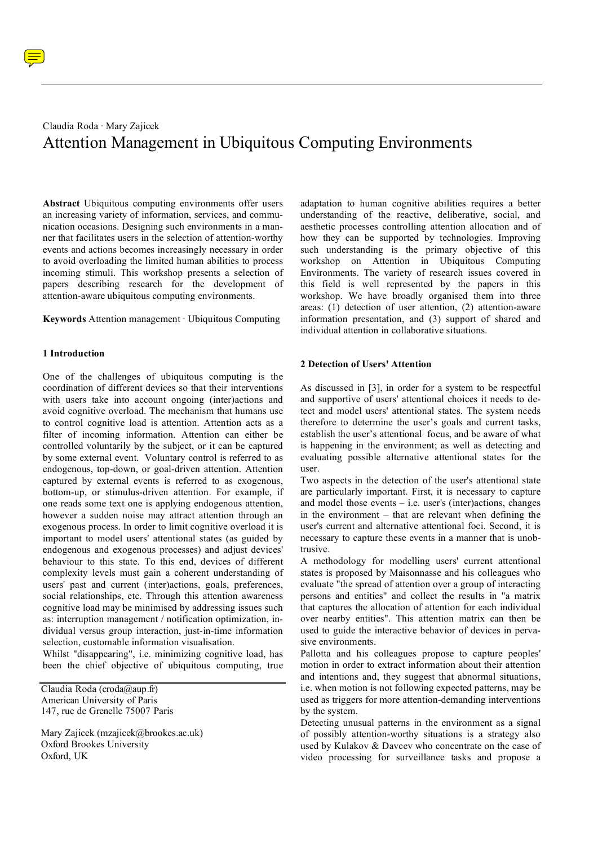# Claudia Roda · Mary Zajicek Attention Management in Ubiquitous Computing Environments

**Abstract** Ubiquitous computing environments offer users an increasing variety of information, services, and communication occasions. Designing such environments in a manner that facilitates users in the selection of attention-worthy events and actions becomes increasingly necessary in order to avoid overloading the limited human abilities to process incoming stimuli. This workshop presents a selection of papers describing research for the development of attention-aware ubiquitous computing environments.

**Keywords** Attention management · Ubiquitous Computing

### **1 Introduction**

One of the challenges of ubiquitous computing is the coordination of different devices so that their interventions with users take into account ongoing (inter)actions and avoid cognitive overload. The mechanism that humans use to control cognitive load is attention. Attention acts as a filter of incoming information. Attention can either be controlled voluntarily by the subject, or it can be captured by some external event. Voluntary control is referred to as endogenous, top-down, or goal-driven attention. Attention captured by external events is referred to as exogenous, bottom-up, or stimulus-driven attention. For example, if one reads some text one is applying endogenous attention, however a sudden noise may attract attention through an exogenous process. In order to limit cognitive overload it is important to model users' attentional states (as guided by endogenous and exogenous processes) and adjust devices' behaviour to this state. To this end, devices of different complexity levels must gain a coherent understanding of users' past and current (inter)actions, goals, preferences, social relationships, etc. Through this attention awareness cognitive load may be minimised by addressing issues such as: interruption management / notification optimization, individual versus group interaction, just-in-time information selection, customable information visualisation.

Whilst "disappearing", i.e. minimizing cognitive load, has been the chief objective of ubiquitous computing, true

Claudia Roda (croda@aup.fr) American University of Paris 147, rue de Grenelle 75007 Paris

Mary Zajicek (mzajicek@brookes.ac.uk) Oxford Brookes University Oxford, UK

adaptation to human cognitive abilities requires a better understanding of the reactive, deliberative, social, and aesthetic processes controlling attention allocation and of how they can be supported by technologies. Improving such understanding is the primary objective of this workshop on Attention in Ubiquitous Computing Environments. The variety of research issues covered in this field is well represented by the papers in this workshop. We have broadly organised them into three areas: (1) detection of user attention, (2) attention-aware information presentation, and (3) support of shared and individual attention in collaborative situations.

### **2 Detection of Users' Attention**

As discussed in [3], in order for a system to be respectful and supportive of users' attentional choices it needs to detect and model users' attentional states. The system needs therefore to determine the user's goals and current tasks, establish the user's attentional focus, and be aware of what is happening in the environment; as well as detecting and evaluating possible alternative attentional states for the user.

Two aspects in the detection of the user's attentional state are particularly important. First, it is necessary to capture and model those events – i.e. user's (inter)actions, changes in the environment – that are relevant when defining the user's current and alternative attentional foci. Second, it is necessary to capture these events in a manner that is unobtrusive.

A methodology for modelling users' current attentional states is proposed by Maisonnasse and his colleagues who evaluate "the spread of attention over a group of interacting persons and entities" and collect the results in "a matrix that captures the allocation of attention for each individual over nearby entities". This attention matrix can then be used to guide the interactive behavior of devices in pervasive environments.

Pallotta and his colleagues propose to capture peoples' motion in order to extract information about their attention and intentions and, they suggest that abnormal situations, i.e. when motion is not following expected patterns, may be used as triggers for more attention-demanding interventions by the system.

Detecting unusual patterns in the environment as a signal of possibly attention-worthy situations is a strategy also used by Kulakov & Davcev who concentrate on the case of video processing for surveillance tasks and propose a